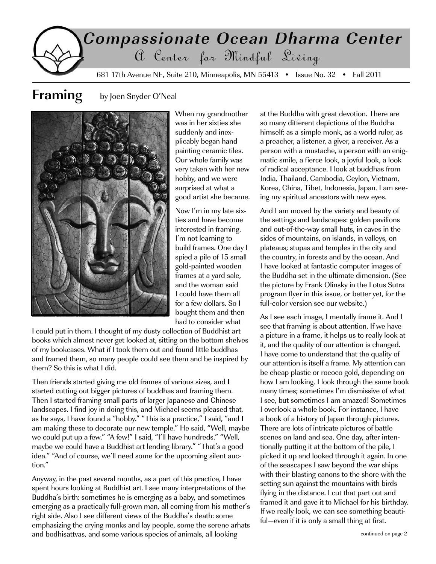# Compassionate Ocean Dharma Center a Center for Mindful Living

681 17th Avenue NE, Suite 210, Minneapolis, MN 55413 • Issue No. 32 • Fall 2011

#### **Framing** by Joen Snyder O'Neal



When my grandmother was in her sixties she suddenly and inexplicably began hand painting ceramic tiles. Our whole family was very taken with her new hobby, and we were surprised at what a good artist she became.

Now I'm in my late sixties and have become interested in framing. I'm not learning to build frames. One day I spied a pile of 15 small gold-painted wooden frames at a yard sale, and the woman said I could have them all for a few dollars. So I bought them and then had to consider what

I could put in them. I thought of my dusty collection of Buddhist art books which almost never get looked at, sitting on the bottom shelves of my bookcases. What if I took them out and found little buddhas and framed them, so many people could see them and be inspired by them? So this is what I did.

Then friends started giving me old frames of various sizes, and I started cutting out bigger pictures of buddhas and framing them. Then I started framing small parts of larger Japanese and Chinese landscapes. I find joy in doing this, and Michael seems pleased that, as he says, I have found a "hobby." "This is a practice," I said, "and I am making these to decorate our new temple." He said, "Well, maybe we could put up a few." "A few!" I said, "I'll have hundreds." "Well, maybe we could have a Buddhist art lending library." "That's a good idea." "And of course, we'll need some for the upcoming silent auction."

Anyway, in the past several months, as a part of this practice, I have spent hours looking at Buddhist art. I see many interpretations of the Buddha's birth: sometimes he is emerging as a baby, and sometimes emerging as a practically full-grown man, all coming from his mother's right side. Also I see different views of the Buddha's death: some emphasizing the crying monks and lay people, some the serene arhats and bodhisattvas, and some various species of animals, all looking

at the Buddha with great devotion. There are so many different depictions of the Buddha himself: as a simple monk, as a world ruler, as a preacher, a listener, a giver, a receiver. As a person with a mustache, a person with an enigmatic smile, a fierce look, a joyful look, a look of radical acceptance. I look at buddhas from India, Thailand, Cambodia, Ceylon, Vietnam, Korea, China, Tibet, Indonesia, Japan. I am seeing my spiritual ancestors with new eyes.

And I am moved by the variety and beauty of the settings and landscapes: golden pavilions and out-of-the-way small huts, in caves in the sides of mountains, on islands, in valleys, on plateaus; stupas and temples in the city and the country, in forests and by the ocean. And I have looked at fantastic computer images of the Buddha set in the ultimate dimension. (See the picture by Frank Olinsky in the Lotus Sutra program flyer in this issue, or better yet, for the full-color version see our website.)

As I see each image, I mentally frame it. And I see that framing is about attention. If we have a picture in a frame, it helps us to really look at it, and the quality of our attention is changed. I have come to understand that the quality of our attention is itself a frame. My attention can be cheap plastic or rococo gold, depending on how I am looking. I look through the same book many times; sometimes I'm dismissive of what I see, but sometimes I am amazed! Sometimes I overlook a whole book. For instance, I have a book of a history of Japan through pictures. There are lots of intricate pictures of battle scenes on land and sea. One day, after intentionally putting it at the bottom of the pile, I picked it up and looked through it again. In one of the seascapes I saw beyond the war ships with their blasting canons to the shore with the setting sun against the mountains with birds flying in the distance. I cut that part out and framed it and gave it to Michael for his birthday. If we really look, we can see something beautiful—even if it is only a small thing at first.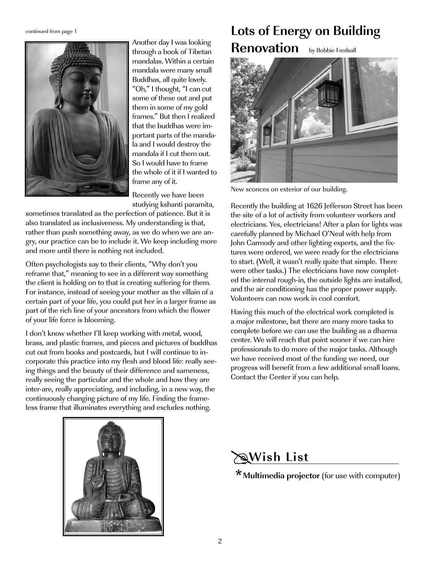

Another day I was looking through a book of Tibetan mandalas. Within a certain mandala were many small Buddhas, all quite lovely. "Oh," I thought, "I can cut some of these out and put them in some of my gold frames." But then I realized that the buddhas were important parts of the mandala and I would destroy the mandala if I cut them out. So I would have to frame the whole of it if I wanted to frame any of it.

Recently we have been studying kshanti paramita,

sometimes translated as the perfection of patience. But it is also translated as inclusiveness. My understanding is that, rather than push something away, as we do when we are angry, our practice can be to include it. We keep including more and more until there is nothing not included.

Often psychologists say to their clients, "Why don't you reframe that," meaning to see in a different way something the client is holding on to that is creating suffering for them. For instance, instead of seeing your mother as the villain of a certain part of your life, you could put her in a larger frame as part of the rich line of your ancestors from which the flower of your life force is blooming.

I don't know whether I'll keep working with metal, wood, brass, and plastic frames, and pieces and pictures of buddhas cut out from books and postcards, but I will continue to incorporate this practice into my flesh and blood life: really seeing things and the beauty of their difference and sameness, really seeing the particular and the whole and how they are inter-are, really appreciating, and including, in a new way, the continuously changing picture of my life. Finding the frameless frame that illuminates everything and excludes nothing.

## **Continued from page 1 Lots of Energy on Building Renovation** by Bobbie Fredsall



New sconces on exterior of our building.

Recently the building at 1626 Jefferson Street has been the site of a lot of activity from volunteer workers and electricians. Yes, electricians! After a plan for lights was carefully planned by Michael O'Neal with help from John Carmody and other lighting experts, and the fixtures were ordered, we were ready for the electricians to start. (Well, it wasn't really quite that simple. There were other tasks.) The electricians have now completed the internal rough-in, the outside lights are installed, and the air conditioning has the proper power supply. Volunteers can now work in cool comfort.

Having this much of the electrical work completed is a major milestone, but there are many more tasks to complete before we can use the building as a dharma center. We will reach that point sooner if we can hire professionals to do more of the major tasks. Although we have received most of the funding we need, our progress will benefit from a few additional small loans. Contact the Center if you can help.



# **Wish List**

**Multimedia projector** (for use with computer)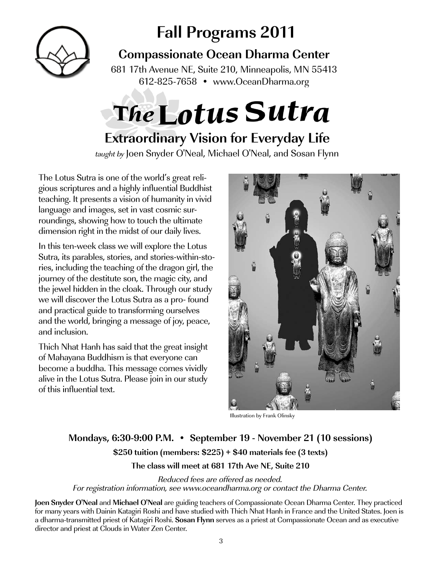

# **Fall Programs 2011**

**Compassionate Ocean Dharma Center**

681 17th Avenue NE, Suite 210, Minneapolis, MN 55413 612-825-7658 • www.OceanDharma.org

# The Lotus Sutra

# **Extraordinary Vision for Everyday Life**

taught by Joen Snyder O'Neal, Michael O'Neal, and Sosan Flynn

The Lotus Sutra is one of the world's great religious scriptures and a highly influential Buddhist teaching. It presents a vision of humanity in vivid language and images, set in vast cosmic surroundings, showing how to touch the ultimate dimension right in the midst of our daily lives.

In this ten-week class we will explore the Lotus Sutra, its parables, stories, and stories-within-stories, including the teaching of the dragon girl, the journey of the destitute son, the magic city, and the jewel hidden in the cloak. Through our study we will discover the Lotus Sutra as a pro- found and practical guide to transforming ourselves and the world, bringing a message of joy, peace, and inclusion.

Thich Nhat Hanh has said that the great insight of Mahayana Buddhism is that everyone can become a buddha. This message comes vividly alive in the Lotus Sutra. Please join in our study of this influential text.



Illustration by Frank Olinsky

#### **Mondays, 6:30-9:00 P.M. • September 19 - November 21 (10 sessions) \$250 tuition (members: \$225) + \$40 materials fee (3 texts) The class will meet at 681 17th Ave NE, Suite 210**

Reduced fees are offered as needed.

For registration information, see www.oceandharma.org or contact the Dharma Center.

**Joen Snyder O'Neal** and **Michael O'Neal** are guiding teachers of Compassionate Ocean Dharma Center. They practiced for many years with Dainin Katagiri Roshi and have studied with Thich Nhat Hanh in France and the United States. Joen is a dharma-transmitted priest of Katagiri Roshi. **Sosan Flynn** serves as a priest at Compassionate Ocean and as executive director and priest at Clouds in Water Zen Center.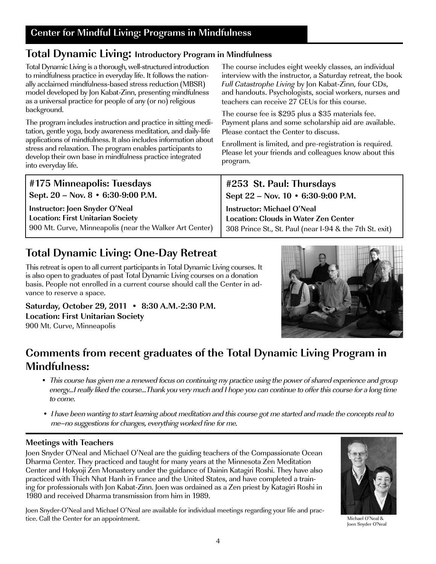### **Total Dynamic Living: Introductory Program in Mindfulness**

Total Dynamic Living is a thorough, well-structured introduction to mindfulness practice in everyday life. It follows the nationally acclaimed mindfulness-based stress reduction (MBSR) model developed by Jon Kabat-Zinn, presenting mindfulness as a universal practice for people of any (or no) religious background.

The program includes instruction and practice in sitting meditation, gentle yoga, body awareness meditation, and daily-life applications of mindfulness. It also includes information about stress and relaxation. The program enables participants to develop their own base in mindfulness practice integrated into everyday life.

The course includes eight weekly classes, an individual interview with the instructor, a Saturday retreat, the book Full Catastrophe Living by Jon Kabat-Zinn, four CDs, and handouts. Psychologists, social workers, nurses and teachers can receive 27 CEUs for this course.

The course fee is \$295 plus a \$35 materials fee. Payment plans and some scholarship aid are available. Please contact the Center to discuss.

Enrollment is limited, and pre-registration is required. Please let your friends and colleagues know about this program.

| #175 Minneapolis: Tuesdays                                                 | #253 St. Paul: Thursdays                                                         |
|----------------------------------------------------------------------------|----------------------------------------------------------------------------------|
| $\vert$ Sept. 20 – Nov. 8 • 6:30-9:00 P.M.                                 | Sept 22 – Nov. 10 • 6:30-9:00 P.M.                                               |
| Instructor: Joen Snyder O'Neal<br><b>Location: First Unitarian Society</b> | <b>Instructor: Michael O'Neal</b><br><b>Location: Clouds in Water Zen Center</b> |
| 900 Mt. Curve, Minneapolis (near the Walker Art Center)                    | 308 Prince St., St. Paul (near I-94 & the 7th St. exit)                          |

# **Total Dynamic Living: One-Day Retreat**

This retreat is open to all current participants in Total Dynamic Living courses. It is also open to graduates of past Total Dynamic Living courses on a donation basis. People not enrolled in a current course should call the Center in advance to reserve a space.

**Saturday, October 29, 2011 • 8:30 A.M.-2:30 P.M. Location: First Unitarian Society**  900 Mt. Curve, Minneapolis



#### **Comments from recent graduates of the Total Dynamic Living Program in Mindfulness:**

- This course has given me a renewed focus on continuing my practice using the power of shared experience and group energy...I really liked the course...Thank you very much and I hope you can continue to offer this course for a long time to come.
- I have been wanting to start learning about meditation and this course got me started and made the concepts real to me–no suggestions for changes, everything worked fine for me.

#### **Meetings with Teachers**

Joen Snyder O'Neal and Michael O'Neal are the guiding teachers of the Compassionate Ocean Dharma Center. They practiced and taught for many years at the Minnesota Zen Meditation Center and Hokyoji Zen Monastery under the guidance of Dainin Katagiri Roshi. They have also practiced with Thich Nhat Hanh in France and the United States, and have completed a training for professionals with Jon Kabat-Zinn. Joen was ordained as a Zen priest by Katagiri Roshi in 1980 and received Dharma transmission from him in 1989.

Joen Snyder-O'Neal and Michael O'Neal are available for individual meetings regarding your life and practice. Call the Center for an appointment.



Michael O'Neal & Joen Snyder O'Neal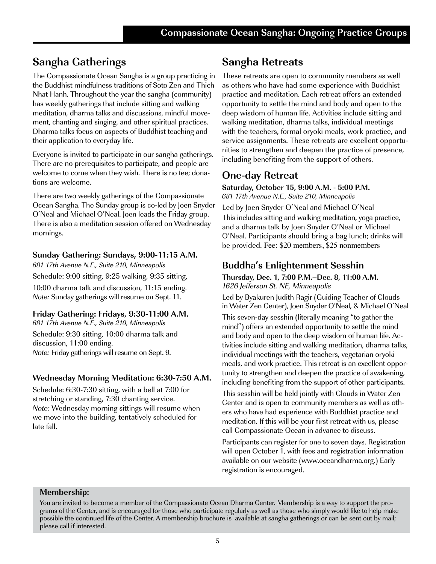#### **Sangha Gatherings**

The Compassionate Ocean Sangha is a group practicing in the Buddhist mindfulness traditions of Soto Zen and Thich Nhat Hanh. Throughout the year the sangha (community) has weekly gatherings that include sitting and walking meditation, dharma talks and discussions, mindful movement, chanting and singing, and other spiritual practices. Dharma talks focus on aspects of Buddhist teaching and their application to everyday life.

Everyone is invited to participate in our sangha gatherings. There are no prerequisites to participate, and people are welcome to come when they wish. There is no fee; donations are welcome.

There are two weekly gatherings of the Compassionate Ocean Sangha. The Sunday group is co-led by Joen Snyder O'Neal and Michael O'Neal. Joen leads the Friday group. There is also a meditation session offered on Wednesday mornings.

#### **Sunday Gathering: Sundays, 9:00-11:15 A.M.**

681 17th Avenue N.E., Suite 210, Minneapolis Schedule: 9:00 sitting, 9:25 walking, 9:35 sitting, 10:00 dharma talk and discussion, 11:15 ending. Note: Sunday gatherings will resume on Sept. 11.

#### **Friday Gathering: Fridays, 9:30-11:00 A.M.**

681 17th Avenue N.E., Suite 210, Minneapolis Schedule: 9:30 sitting, 10:00 dharma talk and discussion, 11:00 ending. Note: Friday gatherings will resume on Sept. 9.

#### **Wednesday Morning Meditation: 6:30-7:50 A.M.**

Schedule: 6:30-7:30 sitting, with a bell at 7:00 for stretching or standing, 7:30 chanting service. Note: Wednesday morning sittings will resume when we move into the building, tentatively scheduled for late fall.

#### **Sangha Retreats**

These retreats are open to community members as well as others who have had some experience with Buddhist practice and meditation. Each retreat offers an extended opportunity to settle the mind and body and open to the deep wisdom of human life. Activities include sitting and walking meditation, dharma talks, individual meetings with the teachers, formal oryoki meals, work practice, and service assignments. These retreats are excellent opportunities to strengthen and deepen the practice of presence, including benefiting from the support of others.

#### **One-day Retreat**

**Saturday, October 15, 9:00 A.M. - 5:00 P.M.** 681 17th Avenue N.E., Suite 210, Minneapolis

Led by Joen Snyder O'Neal and Michael O'Neal This includes sitting and walking meditation, yoga practice, and a dharma talk by Joen Snyder O'Neal or Michael O'Neal. Participants should bring a bag lunch; drinks will be provided. Fee: \$20 members, \$25 nonmembers

#### **Buddha's Enlightenment Sesshin**

**Thursday, Dec. 1, 7:00 P.M.–Dec. 8, 11:00 A.M.**  1626 Jefferson St. NE, Minneapolis

Led by Byakuren Judith Ragir (Guiding Teacher of Clouds in Water Zen Center), Joen Snyder O'Neal, & Michael O'Neal

This seven-day sesshin (literally meaning "to gather the mind") offers an extended opportunity to settle the mind and body and open to the deep wisdom of human life. Activities include sitting and walking meditation, dharma talks, individual meetings with the teachers, vegetarian oryoki meals, and work practice. This retreat is an excellent opportunity to strengthen and deepen the practice of awakening, including benefiting from the support of other participants.

This sesshin will be held jointly with Clouds in Water Zen Center and is open to community members as well as others who have had experience with Buddhist practice and meditation. If this will be your first retreat with us, please call Compassionate Ocean in advance to discuss.

Participants can register for one to seven days. Registration will open October 1, with fees and registration information available on our website (www.oceandharma.org.) Early registration is encouraged.

#### **Membership:**

You are invited to become a member of the Compassionate Ocean Dharma Center. Membership is a way to support the programs of the Center, and is encouraged for those who participate regularly as well as those who simply would like to help make possible the continued life of the Center. A membership brochure is available at sangha gatherings or can be sent out by mail; please call if interested.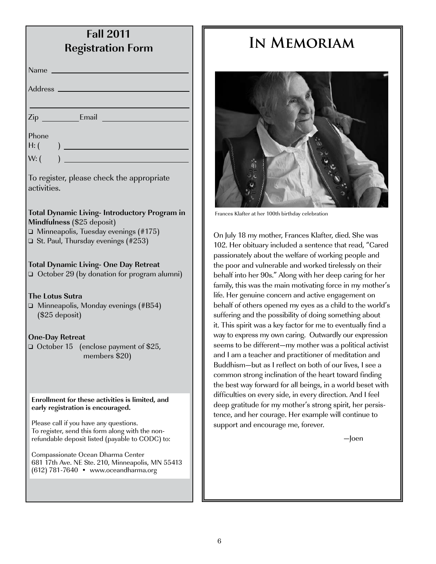| <b>Fall 2011</b><br><b>Registration Form</b>                                                                                                                                   |  |
|--------------------------------------------------------------------------------------------------------------------------------------------------------------------------------|--|
| <u> 1990 - Johann Barnett, fransk kongresu</u><br>Name                                                                                                                         |  |
|                                                                                                                                                                                |  |
|                                                                                                                                                                                |  |
|                                                                                                                                                                                |  |
| Phone<br>$H:$ (                                                                                                                                                                |  |
| W: (                                                                                                                                                                           |  |
| To register, please check the appropriate<br>activities.                                                                                                                       |  |
| <b>Total Dynamic Living- Introductory Program in</b><br>Mindfulness (\$25 deposit)<br>$\Box$ Minneapolis, Tuesday evenings (#175)<br>$\Box$ St. Paul, Thursday evenings (#253) |  |
| <b>Total Dynamic Living- One Day Retreat</b><br>$\Box$ October 29 (by donation for program alumni)                                                                             |  |
| <b>The Lotus Sutra</b><br>$\Box$ Minneapolis, Monday evenings (#B54)<br>$($25$ deposit)                                                                                        |  |
| <b>One-Day Retreat</b><br>October 15<br>(enclose payment of \$25,<br>members \$20)                                                                                             |  |
| Enrollment for these activities is limited, and<br>early registration is encouraged.                                                                                           |  |
| Please call if you have any questions.<br>To register, send this form along with the non-<br>refundable deposit listed (payable to CODC) to:                                   |  |
| Compassionate Ocean Dharma Center<br>681 17th Ave. NE Ste. 210, Minneapolis, MN 55413<br>$(612)$ 781-7640 • www.oceandharma.org                                                |  |
|                                                                                                                                                                                |  |

# **In Memoriam**



Frances Klafter at her 100th birthday celebration

On July 18 my mother, Frances Klafter, died. She was 102. Her obituary included a sentence that read, "Cared passionately about the welfare of working people and the poor and vulnerable and worked tirelessly on their behalf into her 90s." Along with her deep caring for her family, this was the main motivating force in my mother's life. Her genuine concern and active engagement on behalf of others opened my eyes as a child to the world's suffering and the possibility of doing something about it. This spirit was a key factor for me to eventually find a way to express my own caring. Outwardly our expression seems to be different—my mother was a political activist and I am a teacher and practitioner of meditation and Buddhism—but as I reflect on both of our lives, I see a common strong inclination of the heart toward finding the best way forward for all beings, in a world beset with difficulties on every side, in every direction. And I feel deep gratitude for my mother's strong spirit, her persistence, and her courage. Her example will continue to support and encourage me, forever.

—Joen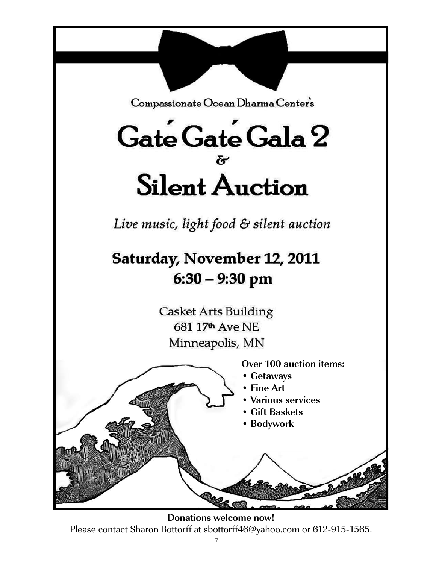

Please contact Sharon Bottorff at sbottorff46@yahoo.com or 612-915-1565.